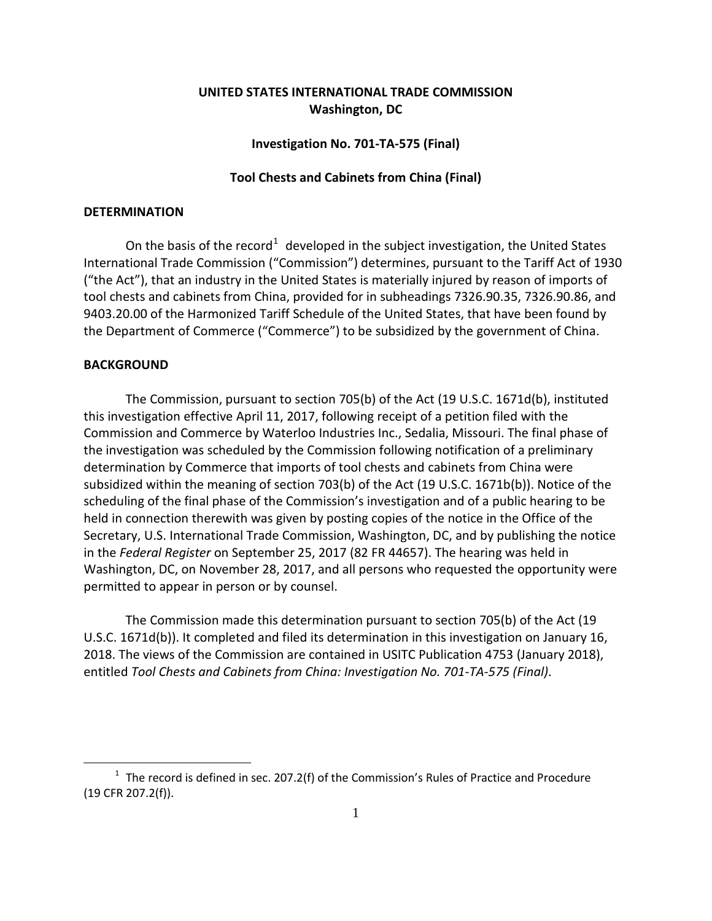# **UNITED STATES INTERNATIONAL TRADE COMMISSION Washington, DC**

## **Investigation No. 701-TA-575 (Final)**

### **Tool Chests and Cabinets from China (Final)**

### **DETERMINATION**

On the basis of the record<sup>[1](#page-0-0)</sup> developed in the subject investigation, the United States International Trade Commission ("Commission") determines, pursuant to the Tariff Act of 1930 ("the Act"), that an industry in the United States is materially injured by reason of imports of tool chests and cabinets from China, provided for in subheadings 7326.90.35, 7326.90.86, and 9403.20.00 of the Harmonized Tariff Schedule of the United States, that have been found by the Department of Commerce ("Commerce") to be subsidized by the government of China.

#### **BACKGROUND**

 $\overline{a}$ 

The Commission, pursuant to section 705(b) of the Act (19 U.S.C. 1671d(b), instituted this investigation effective April 11, 2017, following receipt of a petition filed with the Commission and Commerce by Waterloo Industries Inc., Sedalia, Missouri. The final phase of the investigation was scheduled by the Commission following notification of a preliminary determination by Commerce that imports of tool chests and cabinets from China were subsidized within the meaning of section 703(b) of the Act (19 U.S.C. 1671b(b)). Notice of the scheduling of the final phase of the Commission's investigation and of a public hearing to be held in connection therewith was given by posting copies of the notice in the Office of the Secretary, U.S. International Trade Commission, Washington, DC, and by publishing the notice in the *Federal Register* on September 25, 2017 (82 FR 44657). The hearing was held in Washington, DC, on November 28, 2017, and all persons who requested the opportunity were permitted to appear in person or by counsel.

The Commission made this determination pursuant to section 705(b) of the Act (19 U.S.C. 1671d(b)). It completed and filed its determination in this investigation on January 16, 2018. The views of the Commission are contained in USITC Publication 4753 (January 2018), entitled *Tool Chests and Cabinets from China: Investigation No. 701-TA-575 (Final)*.

<span id="page-0-0"></span> $1$  The record is defined in sec. 207.2(f) of the Commission's Rules of Practice and Procedure (19 CFR 207.2(f)).